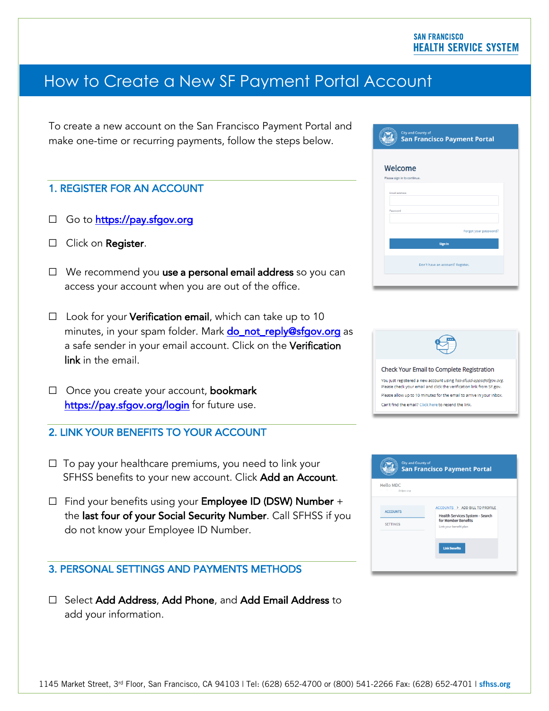# How to Create a New SF Payment Portal Account

To create a new account on the San Francisco Payment Portal and make one-time or recurring payments, follow the steps below.

## 1. REGISTER FOR AN ACCOUNT

- ☐ Go to https://pay.sfgov.org
- □ Click on Register.
- □ We recommend you use a personal email address so you can access your account when you are out of the office.
- $\Box$  Look for your Verification email, which can take up to 10 minutes, in your spam folder. Mark **do\_not\_reply@sfgov.org** as a safe sender in your email account. Click on the Verification link in the email.
- □ Once you create your account, bookmark https://pay.sfgov.org/login for future use.
- 2. LINK YOUR BENEFITS TO YOUR ACCOUNT
- $\Box$  To pay your healthcare premiums, you need to link your SFHSS benefits to your new account. Click Add an Account.
- ☐ Find your benefits using your Employee ID (DSW) Number + the last four of your Social Security Number. Call SFHSS if you do not know your Employee ID Number.

## 3. PERSONAL SETTINGS AND PAYMENTS METHODS

☐ Select Add Address, Add Phone, and Add Email Address to add your information.

| <b>City and County of</b><br><b>San Francisco Payment Portal</b> |  |
|------------------------------------------------------------------|--|
| <b>Welcome</b><br>Please sign in to continue.                    |  |
| Email address                                                    |  |
| Password<br>Forgot your password?                                |  |
| <b>Sign In</b>                                                   |  |
| Don't have an account? Register.                                 |  |